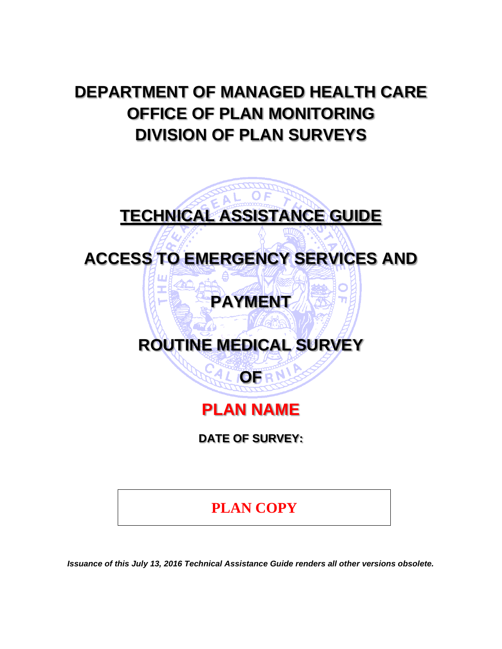# **DEPARTMENT OF MANAGED HEALTH CARE OFFICE OF PLAN MONITORING DIVISION OF PLAN SURVEYS**

# **TECHNICAL ASSISTANCE GUIDE**

**ACCESS TO EMERGENCY SERVICES AND** 

# **PAYMENT**

# **ROUTINE MEDICAL SURVEY**

# **PLAN NAME**

**OFRN** 

**DATE OF SURVEY:** 

# **PLAN COPY**

*Issuance of this July 13, 2016 Technical Assistance Guide renders all other versions obsolete.*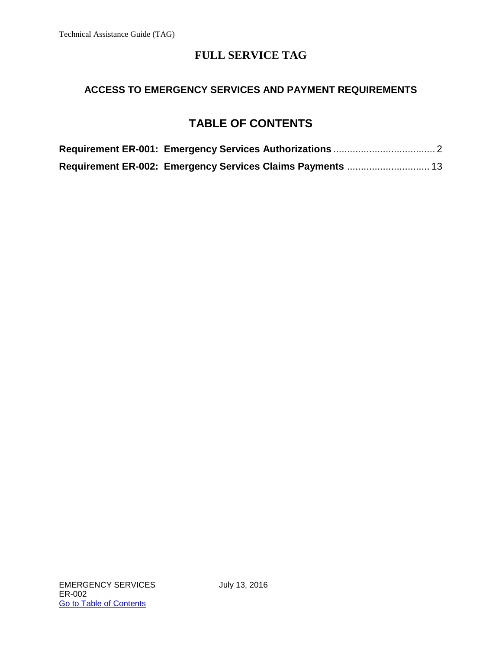### **ACCESS TO EMERGENCY SERVICES AND PAYMENT REQUIREMENTS**

## **TABLE OF CONTENTS**

| Requirement ER-002: Emergency Services Claims Payments  13 |  |
|------------------------------------------------------------|--|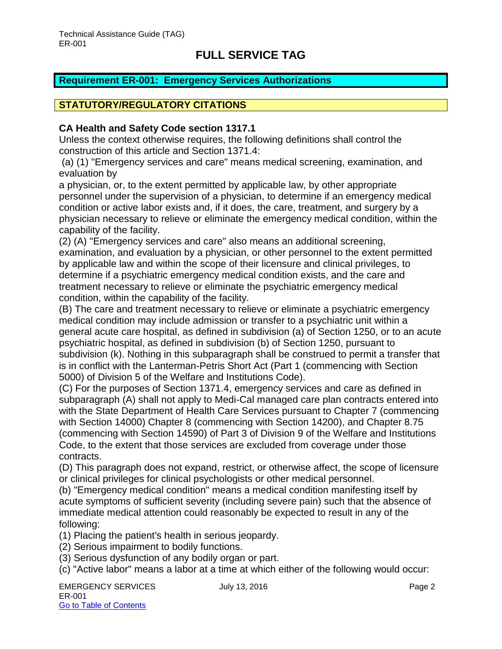### <span id="page-2-0"></span>**Requirement ER-001: Emergency Services Authorizations**

### **STATUTORY/REGULATORY CITATIONS**

#### **CA Health and Safety Code section 1317.1**

Unless the context otherwise requires, the following definitions shall control the construction of this article and Section 1371.4:

 (a) (1) "Emergency services and care" means medical screening, examination, and evaluation by

a physician, or, to the extent permitted by applicable law, by other appropriate personnel under the supervision of a physician, to determine if an emergency medical condition or active labor exists and, if it does, the care, treatment, and surgery by a physician necessary to relieve or eliminate the emergency medical condition, within the capability of the facility.

(2) (A) "Emergency services and care" also means an additional screening, examination, and evaluation by a physician, or other personnel to the extent permitted by applicable law and within the scope of their licensure and clinical privileges, to determine if a psychiatric emergency medical condition exists, and the care and treatment necessary to relieve or eliminate the psychiatric emergency medical condition, within the capability of the facility.

(B) The care and treatment necessary to relieve or eliminate a psychiatric emergency medical condition may include admission or transfer to a psychiatric unit within a general acute care hospital, as defined in subdivision (a) of Section 1250, or to an acute psychiatric hospital, as defined in subdivision (b) of Section 1250, pursuant to subdivision (k). Nothing in this subparagraph shall be construed to permit a transfer that is in conflict with the Lanterman-Petris Short Act (Part 1 (commencing with Section 5000) of Division 5 of the Welfare and Institutions Code).

(C) For the purposes of Section 1371.4, emergency services and care as defined in subparagraph (A) shall not apply to Medi-Cal managed care plan contracts entered into with the State Department of Health Care Services pursuant to Chapter 7 (commencing with Section 14000) Chapter 8 (commencing with Section 14200), and Chapter 8.75 (commencing with Section 14590) of Part 3 of Division 9 of the Welfare and Institutions Code, to the extent that those services are excluded from coverage under those contracts.

(D) This paragraph does not expand, restrict, or otherwise affect, the scope of licensure or clinical privileges for clinical psychologists or other medical personnel.

(b) "Emergency medical condition" means a medical condition manifesting itself by acute symptoms of sufficient severity (including severe pain) such that the absence of immediate medical attention could reasonably be expected to result in any of the following:

(1) Placing the patient's health in serious jeopardy.

- (2) Serious impairment to bodily functions.
- (3) Serious dysfunction of any bodily organ or part.
- (c) "Active labor" means a labor at a time at which either of the following would occur: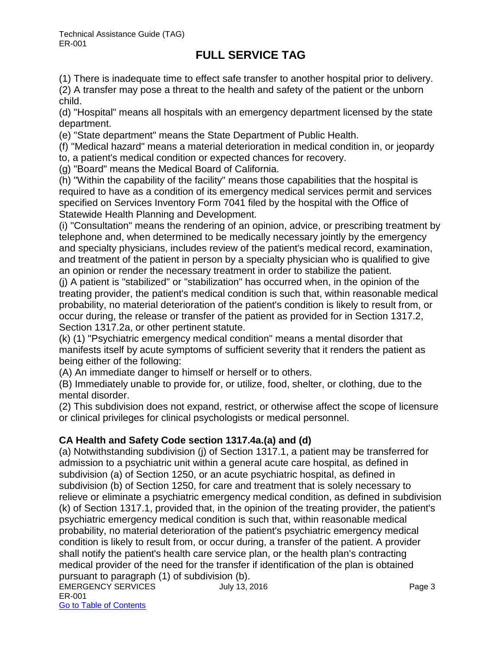(1) There is inadequate time to effect safe transfer to another hospital prior to delivery.

(2) A transfer may pose a threat to the health and safety of the patient or the unborn child.

(d) "Hospital" means all hospitals with an emergency department licensed by the state department.

(e) "State department" means the State Department of Public Health.

(f) "Medical hazard" means a material deterioration in medical condition in, or jeopardy

to, a patient's medical condition or expected chances for recovery.

(g) "Board" means the Medical Board of California.

(h) "Within the capability of the facility" means those capabilities that the hospital is required to have as a condition of its emergency medical services permit and services specified on Services Inventory Form 7041 filed by the hospital with the Office of Statewide Health Planning and Development.

(i) "Consultation" means the rendering of an opinion, advice, or prescribing treatment by telephone and, when determined to be medically necessary jointly by the emergency and specialty physicians, includes review of the patient's medical record, examination, and treatment of the patient in person by a specialty physician who is qualified to give an opinion or render the necessary treatment in order to stabilize the patient.

(j) A patient is "stabilized" or "stabilization" has occurred when, in the opinion of the treating provider, the patient's medical condition is such that, within reasonable medical probability, no material deterioration of the patient's condition is likely to result from, or occur during, the release or transfer of the patient as provided for in Section 1317.2, Section 1317.2a, or other pertinent statute.

(k) (1) "Psychiatric emergency medical condition" means a mental disorder that manifests itself by acute symptoms of sufficient severity that it renders the patient as being either of the following:

(A) An immediate danger to himself or herself or to others.

(B) Immediately unable to provide for, or utilize, food, shelter, or clothing, due to the mental disorder.

(2) This subdivision does not expand, restrict, or otherwise affect the scope of licensure or clinical privileges for clinical psychologists or medical personnel.

### **CA Health and Safety Code section 1317.4a.(a) and (d)**

(a) Notwithstanding subdivision (j) of Section 1317.1, a patient may be transferred for admission to a psychiatric unit within a general acute care hospital, as defined in subdivision (a) of Section 1250, or an acute psychiatric hospital, as defined in subdivision (b) of Section 1250, for care and treatment that is solely necessary to relieve or eliminate a psychiatric emergency medical condition, as defined in subdivision (k) of Section 1317.1, provided that, in the opinion of the treating provider, the patient's psychiatric emergency medical condition is such that, within reasonable medical probability, no material deterioration of the patient's psychiatric emergency medical condition is likely to result from, or occur during, a transfer of the patient. A provider shall notify the patient's health care service plan, or the health plan's contracting medical provider of the need for the transfer if identification of the plan is obtained pursuant to paragraph (1) of subdivision (b).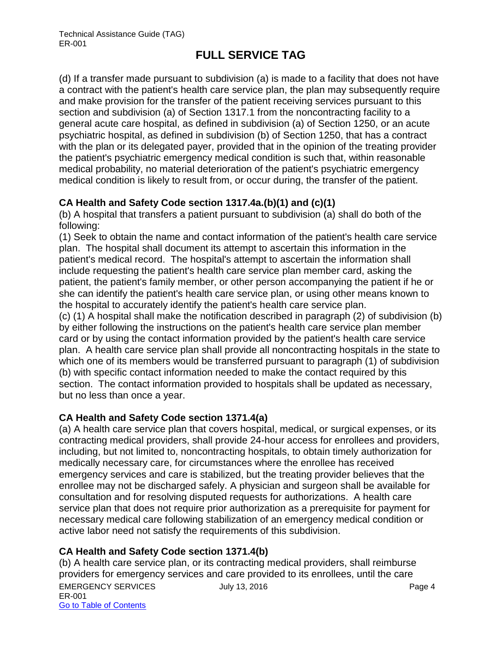(d) If a transfer made pursuant to subdivision (a) is made to a facility that does not have a contract with the patient's health care service plan, the plan may subsequently require and make provision for the transfer of the patient receiving services pursuant to this section and subdivision (a) of Section 1317.1 from the noncontracting facility to a general acute care hospital, as defined in subdivision (a) of Section 1250, or an acute psychiatric hospital, as defined in subdivision (b) of Section 1250, that has a contract with the plan or its delegated payer, provided that in the opinion of the treating provider the patient's psychiatric emergency medical condition is such that, within reasonable medical probability, no material deterioration of the patient's psychiatric emergency medical condition is likely to result from, or occur during, the transfer of the patient.

### **CA Health and Safety Code section 1317.4a.(b)(1) and (c)(1)**

(b) A hospital that transfers a patient pursuant to subdivision (a) shall do both of the following:

(1) Seek to obtain the name and contact information of the patient's health care service plan. The hospital shall document its attempt to ascertain this information in the patient's medical record. The hospital's attempt to ascertain the information shall include requesting the patient's health care service plan member card, asking the patient, the patient's family member, or other person accompanying the patient if he or she can identify the patient's health care service plan, or using other means known to the hospital to accurately identify the patient's health care service plan.

(c) (1) A hospital shall make the notification described in paragraph (2) of subdivision (b) by either following the instructions on the patient's health care service plan member card or by using the contact information provided by the patient's health care service plan. A health care service plan shall provide all noncontracting hospitals in the state to which one of its members would be transferred pursuant to paragraph (1) of subdivision (b) with specific contact information needed to make the contact required by this section. The contact information provided to hospitals shall be updated as necessary, but no less than once a year.

### **CA Health and Safety Code section 1371.4(a)**

(a) A health care service plan that covers hospital, medical, or surgical expenses, or its contracting medical providers, shall provide 24-hour access for enrollees and providers, including, but not limited to, noncontracting hospitals, to obtain timely authorization for medically necessary care, for circumstances where the enrollee has received emergency services and care is stabilized, but the treating provider believes that the enrollee may not be discharged safely. A physician and surgeon shall be available for consultation and for resolving disputed requests for authorizations. A health care service plan that does not require prior authorization as a prerequisite for payment for necessary medical care following stabilization of an emergency medical condition or active labor need not satisfy the requirements of this subdivision.

### **CA Health and Safety Code section 1371.4(b)**

EMERGENCY SERVICES July 13, 2016 ER-001 Go to Table of Contents (b) A health care service plan, or its contracting medical providers, shall reimburse providers for emergency services and care provided to its enrollees, until the care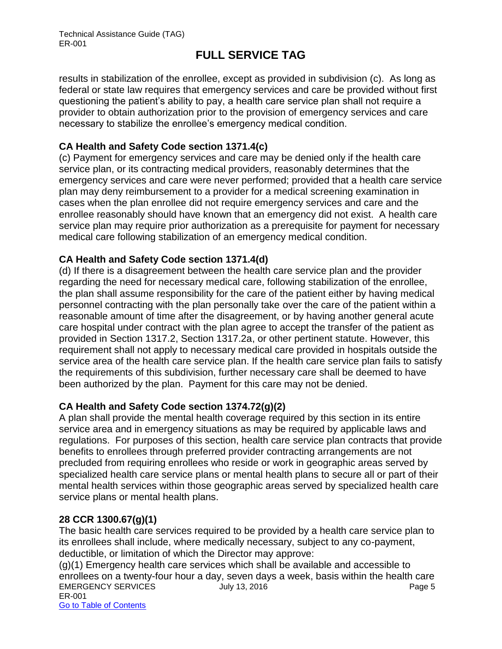results in stabilization of the enrollee, except as provided in subdivision (c). As long as federal or state law requires that emergency services and care be provided without first questioning the patient's ability to pay, a health care service plan shall not require a provider to obtain authorization prior to the provision of emergency services and care necessary to stabilize the enrollee's emergency medical condition.

### **CA Health and Safety Code section 1371.4(c)**

(c) Payment for emergency services and care may be denied only if the health care service plan, or its contracting medical providers, reasonably determines that the emergency services and care were never performed; provided that a health care service plan may deny reimbursement to a provider for a medical screening examination in cases when the plan enrollee did not require emergency services and care and the enrollee reasonably should have known that an emergency did not exist. A health care service plan may require prior authorization as a prerequisite for payment for necessary medical care following stabilization of an emergency medical condition.

### **CA Health and Safety Code section 1371.4(d)**

(d) If there is a disagreement between the health care service plan and the provider regarding the need for necessary medical care, following stabilization of the enrollee, the plan shall assume responsibility for the care of the patient either by having medical personnel contracting with the plan personally take over the care of the patient within a reasonable amount of time after the disagreement, or by having another general acute care hospital under contract with the plan agree to accept the transfer of the patient as provided in Section 1317.2, Section 1317.2a, or other pertinent statute. However, this requirement shall not apply to necessary medical care provided in hospitals outside the service area of the health care service plan. If the health care service plan fails to satisfy the requirements of this subdivision, further necessary care shall be deemed to have been authorized by the plan. Payment for this care may not be denied.

### **CA Health and Safety Code section 1374.72(g)(2)**

A plan shall provide the mental health coverage required by this section in its entire service area and in emergency situations as may be required by applicable laws and regulations. For purposes of this section, health care service plan contracts that provide benefits to enrollees through preferred provider contracting arrangements are not precluded from requiring enrollees who reside or work in geographic areas served by specialized health care service plans or mental health plans to secure all or part of their mental health services within those geographic areas served by specialized health care service plans or mental health plans.

### **28 CCR 1300.67(g)(1)**

The basic health care services required to be provided by a health care service plan to its enrollees shall include, where medically necessary, subject to any co-payment, deductible, or limitation of which the Director may approve: (g)(1) Emergency health care services which shall be available and accessible to

EMERGENCY SERVICES UNIV 13, 2016 CHERGENCY SERVICES ER-001 Go to Table of Contents enrollees on a twenty-four hour a day, seven days a week, basis within the health care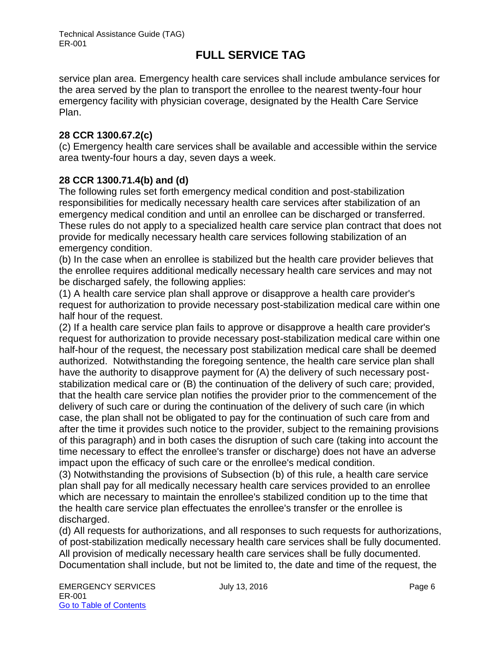service plan area. Emergency health care services shall include ambulance services for the area served by the plan to transport the enrollee to the nearest twenty-four hour emergency facility with physician coverage, designated by the Health Care Service Plan.

### **28 CCR 1300.67.2(c)**

(c) Emergency health care services shall be available and accessible within the service area twenty-four hours a day, seven days a week.

### **28 CCR 1300.71.4(b) and (d)**

The following rules set forth emergency medical condition and post-stabilization responsibilities for medically necessary health care services after stabilization of an emergency medical condition and until an enrollee can be discharged or transferred. These rules do not apply to a specialized health care service plan contract that does not provide for medically necessary health care services following stabilization of an emergency condition.

(b) In the case when an enrollee is stabilized but the health care provider believes that the enrollee requires additional medically necessary health care services and may not be discharged safely, the following applies:

(1) A health care service plan shall approve or disapprove a health care provider's request for authorization to provide necessary post-stabilization medical care within one half hour of the request.

(2) If a health care service plan fails to approve or disapprove a health care provider's request for authorization to provide necessary post-stabilization medical care within one half-hour of the request, the necessary post stabilization medical care shall be deemed authorized. Notwithstanding the foregoing sentence, the health care service plan shall have the authority to disapprove payment for (A) the delivery of such necessary poststabilization medical care or (B) the continuation of the delivery of such care; provided, that the health care service plan notifies the provider prior to the commencement of the delivery of such care or during the continuation of the delivery of such care (in which case, the plan shall not be obligated to pay for the continuation of such care from and after the time it provides such notice to the provider, subject to the remaining provisions of this paragraph) and in both cases the disruption of such care (taking into account the time necessary to effect the enrollee's transfer or discharge) does not have an adverse impact upon the efficacy of such care or the enrollee's medical condition.

(3) Notwithstanding the provisions of Subsection (b) of this rule, a health care service plan shall pay for all medically necessary health care services provided to an enrollee which are necessary to maintain the enrollee's stabilized condition up to the time that the health care service plan effectuates the enrollee's transfer or the enrollee is discharged.

(d) All requests for authorizations, and all responses to such requests for authorizations, of post-stabilization medically necessary health care services shall be fully documented. All provision of medically necessary health care services shall be fully documented. Documentation shall include, but not be limited to, the date and time of the request, the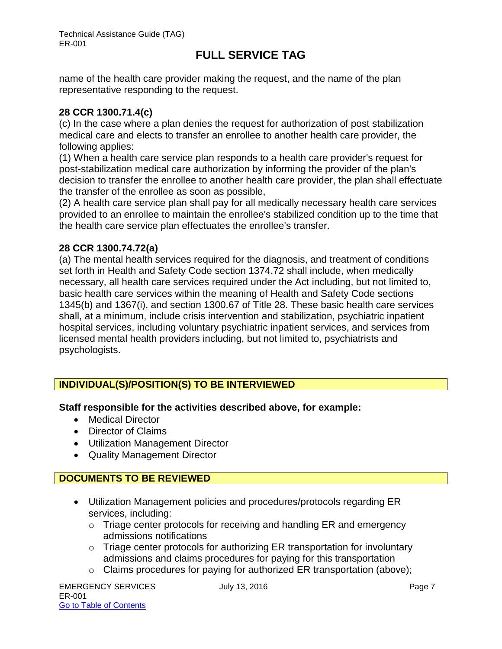name of the health care provider making the request, and the name of the plan representative responding to the request.

### **28 CCR 1300.71.4(c)**

(c) In the case where a plan denies the request for authorization of post stabilization medical care and elects to transfer an enrollee to another health care provider, the following applies:

(1) When a health care service plan responds to a health care provider's request for post-stabilization medical care authorization by informing the provider of the plan's decision to transfer the enrollee to another health care provider, the plan shall effectuate the transfer of the enrollee as soon as possible,

(2) A health care service plan shall pay for all medically necessary health care services provided to an enrollee to maintain the enrollee's stabilized condition up to the time that the health care service plan effectuates the enrollee's transfer.

### **28 CCR 1300.74.72(a)**

(a) The mental health services required for the diagnosis, and treatment of conditions set forth in Health and Safety Code section 1374.72 shall include, when medically necessary, all health care services required under the Act including, but not limited to, basic health care services within the meaning of Health and Safety Code sections 1345(b) and 1367(i), and section 1300.67 of Title 28. These basic health care services shall, at a minimum, include crisis intervention and stabilization, psychiatric inpatient hospital services, including voluntary psychiatric inpatient services, and services from licensed mental health providers including, but not limited to, psychiatrists and psychologists.

### **INDIVIDUAL(S)/POSITION(S) TO BE INTERVIEWED**

### **Staff responsible for the activities described above, for example:**

- Medical Director
- Director of Claims
- Utilization Management Director
- Quality Management Director

### **DOCUMENTS TO BE REVIEWED**

- Utilization Management policies and procedures/protocols regarding ER services, including:
	- o Triage center protocols for receiving and handling ER and emergency admissions notifications
	- o Triage center protocols for authorizing ER transportation for involuntary admissions and claims procedures for paying for this transportation
	- o Claims procedures for paying for authorized ER transportation (above);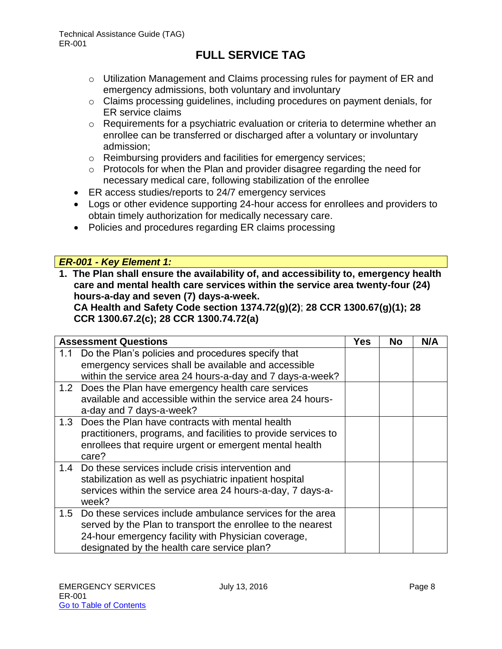- o Utilization Management and Claims processing rules for payment of ER and emergency admissions, both voluntary and involuntary
- o Claims processing guidelines, including procedures on payment denials, for ER service claims
- o Requirements for a psychiatric evaluation or criteria to determine whether an enrollee can be transferred or discharged after a voluntary or involuntary admission;
- o Reimbursing providers and facilities for emergency services;
- o Protocols for when the Plan and provider disagree regarding the need for necessary medical care, following stabilization of the enrollee
- ER access studies/reports to 24/7 emergency services
- Logs or other evidence supporting 24-hour access for enrollees and providers to obtain timely authorization for medically necessary care.
- Policies and procedures regarding ER claims processing

### *ER-001 - Key Element 1:*

**1. The Plan shall ensure the availability of, and accessibility to, emergency health care and mental health care services within the service area twenty-four (24) hours-a-day and seven (7) days-a-week.** 

**CA Health and Safety Code section 1374.72(g)(2)**; **28 CCR 1300.67(g)(1); 28 CCR 1300.67.2(c); 28 CCR 1300.74.72(a)**

|     | <b>Assessment Questions</b>                                                                                                                                                                                                    | Yes | No | N/A |
|-----|--------------------------------------------------------------------------------------------------------------------------------------------------------------------------------------------------------------------------------|-----|----|-----|
| 1.1 | Do the Plan's policies and procedures specify that<br>emergency services shall be available and accessible<br>within the service area 24 hours-a-day and 7 days-a-week?                                                        |     |    |     |
|     | 1.2 Does the Plan have emergency health care services<br>available and accessible within the service area 24 hours-<br>a-day and 7 days-a-week?                                                                                |     |    |     |
| 1.3 | Does the Plan have contracts with mental health<br>practitioners, programs, and facilities to provide services to<br>enrollees that require urgent or emergent mental health<br>care?                                          |     |    |     |
| 1.4 | Do these services include crisis intervention and<br>stabilization as well as psychiatric inpatient hospital<br>services within the service area 24 hours-a-day, 7 days-a-<br>week?                                            |     |    |     |
| 1.5 | Do these services include ambulance services for the area<br>served by the Plan to transport the enrollee to the nearest<br>24-hour emergency facility with Physician coverage,<br>designated by the health care service plan? |     |    |     |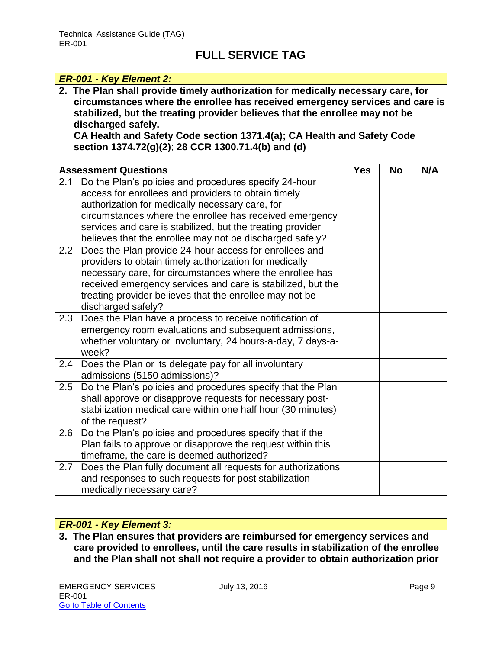#### *ER-001 - Key Element 2:*

**2. The Plan shall provide timely authorization for medically necessary care, for circumstances where the enrollee has received emergency services and care is stabilized, but the treating provider believes that the enrollee may not be discharged safely.** 

**CA Health and Safety Code section 1371.4(a); CA Health and Safety Code section 1374.72(g)(2)**; **28 CCR 1300.71.4(b) and (d)** 

|     | <b>Assessment Questions</b>                                                            | <b>Yes</b> | <b>No</b> | N/A |
|-----|----------------------------------------------------------------------------------------|------------|-----------|-----|
| 2.1 | Do the Plan's policies and procedures specify 24-hour                                  |            |           |     |
|     | access for enrollees and providers to obtain timely                                    |            |           |     |
|     | authorization for medically necessary care, for                                        |            |           |     |
|     | circumstances where the enrollee has received emergency                                |            |           |     |
|     | services and care is stabilized, but the treating provider                             |            |           |     |
|     | believes that the enrollee may not be discharged safely?                               |            |           |     |
| 2.2 | Does the Plan provide 24-hour access for enrollees and                                 |            |           |     |
|     | providers to obtain timely authorization for medically                                 |            |           |     |
|     | necessary care, for circumstances where the enrollee has                               |            |           |     |
|     | received emergency services and care is stabilized, but the                            |            |           |     |
|     | treating provider believes that the enrollee may not be                                |            |           |     |
|     | discharged safely?                                                                     |            |           |     |
| 2.3 | Does the Plan have a process to receive notification of                                |            |           |     |
|     | emergency room evaluations and subsequent admissions,                                  |            |           |     |
|     | whether voluntary or involuntary, 24 hours-a-day, 7 days-a-<br>week?                   |            |           |     |
| 2.4 |                                                                                        |            |           |     |
|     | Does the Plan or its delegate pay for all involuntary<br>admissions (5150 admissions)? |            |           |     |
| 2.5 | Do the Plan's policies and procedures specify that the Plan                            |            |           |     |
|     | shall approve or disapprove requests for necessary post-                               |            |           |     |
|     | stabilization medical care within one half hour (30 minutes)                           |            |           |     |
|     | of the request?                                                                        |            |           |     |
| 2.6 | Do the Plan's policies and procedures specify that if the                              |            |           |     |
|     | Plan fails to approve or disapprove the request within this                            |            |           |     |
|     | timeframe, the care is deemed authorized?                                              |            |           |     |
| 2.7 | Does the Plan fully document all requests for authorizations                           |            |           |     |
|     | and responses to such requests for post stabilization                                  |            |           |     |
|     | medically necessary care?                                                              |            |           |     |

### *ER-001 - Key Element 3:*

**3. The Plan ensures that providers are reimbursed for emergency services and care provided to enrollees, until the care results in stabilization of the enrollee and the Plan shall not shall not require a provider to obtain authorization prior**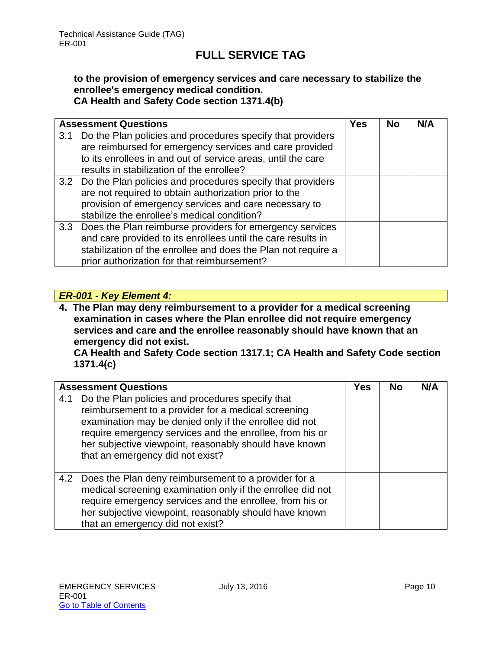#### **to the provision of emergency services and care necessary to stabilize the enrollee's emergency medical condition. CA Health and Safety Code section 1371.4(b)**

|     | <b>Assessment Questions</b>                                    | Yes | No | N/A |
|-----|----------------------------------------------------------------|-----|----|-----|
| 3.1 | Do the Plan policies and procedures specify that providers     |     |    |     |
|     | are reimbursed for emergency services and care provided        |     |    |     |
|     | to its enrollees in and out of service areas, until the care   |     |    |     |
|     | results in stabilization of the enrollee?                      |     |    |     |
|     | 3.2 Do the Plan policies and procedures specify that providers |     |    |     |
|     | are not required to obtain authorization prior to the          |     |    |     |
|     | provision of emergency services and care necessary to          |     |    |     |
|     | stabilize the enrollee's medical condition?                    |     |    |     |
|     | 3.3 Does the Plan reimburse providers for emergency services   |     |    |     |
|     | and care provided to its enrollees until the care results in   |     |    |     |
|     | stabilization of the enrollee and does the Plan not require a  |     |    |     |
|     | prior authorization for that reimbursement?                    |     |    |     |

### *ER-001 - Key Element 4:*

**4. The Plan may deny reimbursement to a provider for a medical screening examination in cases where the Plan enrollee did not require emergency services and care and the enrollee reasonably should have known that an emergency did not exist.** 

**CA Health and Safety Code section 1317.1; CA Health and Safety Code section 1371.4(c)**

|     | <b>Assessment Questions</b>                                                                                                                                                                                                                                                                                                 | Yes | <b>No</b> | N/A |
|-----|-----------------------------------------------------------------------------------------------------------------------------------------------------------------------------------------------------------------------------------------------------------------------------------------------------------------------------|-----|-----------|-----|
| 4.1 | Do the Plan policies and procedures specify that<br>reimbursement to a provider for a medical screening<br>examination may be denied only if the enrollee did not<br>require emergency services and the enrollee, from his or<br>her subjective viewpoint, reasonably should have known<br>that an emergency did not exist? |     |           |     |
| 4.2 | Does the Plan deny reimbursement to a provider for a<br>medical screening examination only if the enrollee did not<br>require emergency services and the enrollee, from his or<br>her subjective viewpoint, reasonably should have known<br>that an emergency did not exist?                                                |     |           |     |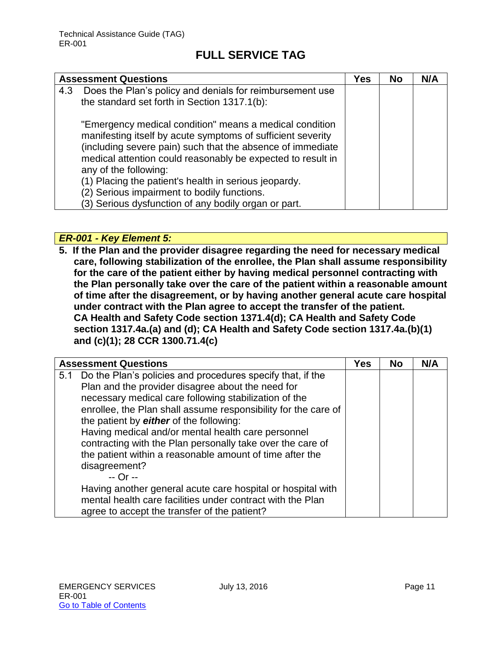| <b>Assessment Questions</b>                                                                                                                                                                                                                                                                                                           | Yes | <b>No</b> | N/A |
|---------------------------------------------------------------------------------------------------------------------------------------------------------------------------------------------------------------------------------------------------------------------------------------------------------------------------------------|-----|-----------|-----|
| Does the Plan's policy and denials for reimbursement use<br>4.3<br>the standard set forth in Section 1317.1(b):                                                                                                                                                                                                                       |     |           |     |
| "Emergency medical condition" means a medical condition<br>manifesting itself by acute symptoms of sufficient severity<br>(including severe pain) such that the absence of immediate<br>medical attention could reasonably be expected to result in<br>any of the following:<br>(1) Placing the patient's health in serious jeopardy. |     |           |     |
| (2) Serious impairment to bodily functions.                                                                                                                                                                                                                                                                                           |     |           |     |
| (3) Serious dysfunction of any bodily organ or part.                                                                                                                                                                                                                                                                                  |     |           |     |

*ER-001 - Key Element 5:*

**5. If the Plan and the provider disagree regarding the need for necessary medical care, following stabilization of the enrollee, the Plan shall assume responsibility for the care of the patient either by having medical personnel contracting with the Plan personally take over the care of the patient within a reasonable amount of time after the disagreement, or by having another general acute care hospital under contract with the Plan agree to accept the transfer of the patient. CA Health and Safety Code section 1371.4(d); CA Health and Safety Code section 1317.4a.(a) and (d); CA Health and Safety Code section 1317.4a.(b)(1) and (c)(1); 28 CCR 1300.71.4(c)**

| <b>Assessment Questions</b>                                                                                                                                                                                                                                                                                                                                                                                                                                                  |            | No | N/A |
|------------------------------------------------------------------------------------------------------------------------------------------------------------------------------------------------------------------------------------------------------------------------------------------------------------------------------------------------------------------------------------------------------------------------------------------------------------------------------|------------|----|-----|
| Do the Plan's policies and procedures specify that, if the<br>5.1<br>Plan and the provider disagree about the need for<br>necessary medical care following stabilization of the<br>enrollee, the Plan shall assume responsibility for the care of<br>the patient by either of the following:<br>Having medical and/or mental health care personnel<br>contracting with the Plan personally take over the care of<br>the patient within a reasonable amount of time after the | <b>Yes</b> |    |     |
| disagreement?<br>-- Or --<br>Having another general acute care hospital or hospital with<br>mental health care facilities under contract with the Plan<br>agree to accept the transfer of the patient?                                                                                                                                                                                                                                                                       |            |    |     |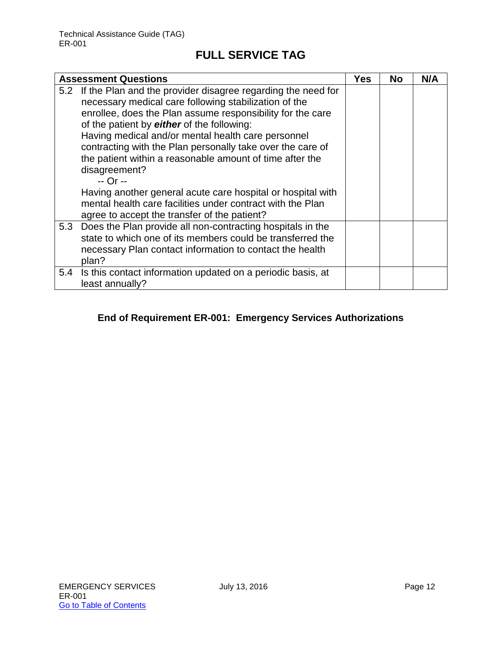|     | <b>Assessment Questions</b>                                                                                                                                                                                                                                                                                                                                                                                                                          | Yes | <b>No</b> | N/A |
|-----|------------------------------------------------------------------------------------------------------------------------------------------------------------------------------------------------------------------------------------------------------------------------------------------------------------------------------------------------------------------------------------------------------------------------------------------------------|-----|-----------|-----|
|     | 5.2 If the Plan and the provider disagree regarding the need for<br>necessary medical care following stabilization of the<br>enrollee, does the Plan assume responsibility for the care<br>of the patient by either of the following:<br>Having medical and/or mental health care personnel<br>contracting with the Plan personally take over the care of<br>the patient within a reasonable amount of time after the<br>disagreement?<br>$-$ Or $-$ |     |           |     |
|     | Having another general acute care hospital or hospital with<br>mental health care facilities under contract with the Plan<br>agree to accept the transfer of the patient?                                                                                                                                                                                                                                                                            |     |           |     |
| 5.3 | Does the Plan provide all non-contracting hospitals in the<br>state to which one of its members could be transferred the<br>necessary Plan contact information to contact the health<br>plan?                                                                                                                                                                                                                                                        |     |           |     |
| 5.4 | Is this contact information updated on a periodic basis, at<br>least annually?                                                                                                                                                                                                                                                                                                                                                                       |     |           |     |

### **End of Requirement ER-001: Emergency Services Authorizations**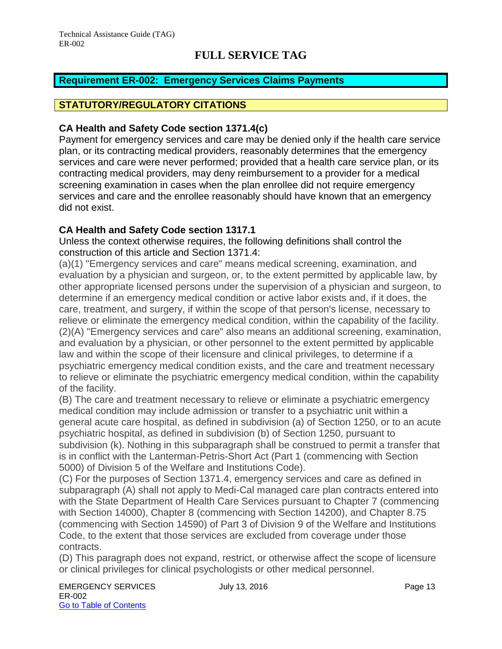### <span id="page-13-0"></span>**Requirement ER-002: Emergency Services Claims Payments**

### **STATUTORY/REGULATORY CITATIONS**

#### **CA Health and Safety Code section 1371.4(c)**

Payment for emergency services and care may be denied only if the health care service plan, or its contracting medical providers, reasonably determines that the emergency services and care were never performed; provided that a health care service plan, or its contracting medical providers, may deny reimbursement to a provider for a medical screening examination in cases when the plan enrollee did not require emergency services and care and the enrollee reasonably should have known that an emergency did not exist.

### **CA Health and Safety Code section 1317.1**

Unless the context otherwise requires, the following definitions shall control the construction of this article and Section 1371.4:

(a)(1) "Emergency services and care" means medical screening, examination, and evaluation by a physician and surgeon, or, to the extent permitted by applicable law, by other appropriate licensed persons under the supervision of a physician and surgeon, to determine if an emergency medical condition or active labor exists and, if it does, the care, treatment, and surgery, if within the scope of that person's license, necessary to relieve or eliminate the emergency medical condition, within the capability of the facility. (2)(A) "Emergency services and care" also means an additional screening, examination, and evaluation by a physician, or other personnel to the extent permitted by applicable law and within the scope of their licensure and clinical privileges, to determine if a psychiatric emergency medical condition exists, and the care and treatment necessary to relieve or eliminate the psychiatric emergency medical condition, within the capability of the facility.

(B) The care and treatment necessary to relieve or eliminate a psychiatric emergency medical condition may include admission or transfer to a psychiatric unit within a general acute care hospital, as defined in subdivision (a) of Section 1250, or to an acute psychiatric hospital, as defined in subdivision (b) of Section 1250, pursuant to subdivision (k). Nothing in this subparagraph shall be construed to permit a transfer that is in conflict with the Lanterman-Petris-Short Act (Part 1 (commencing with Section 5000) of Division 5 of the Welfare and Institutions Code).

(C) For the purposes of Section 1371.4, emergency services and care as defined in subparagraph (A) shall not apply to Medi-Cal managed care plan contracts entered into with the State Department of Health Care Services pursuant to Chapter 7 (commencing with Section 14000), Chapter 8 (commencing with Section 14200), and Chapter 8.75 (commencing with Section 14590) of Part 3 of Division 9 of the Welfare and Institutions Code, to the extent that those services are excluded from coverage under those contracts.

(D) This paragraph does not expand, restrict, or otherwise affect the scope of licensure or clinical privileges for clinical psychologists or other medical personnel.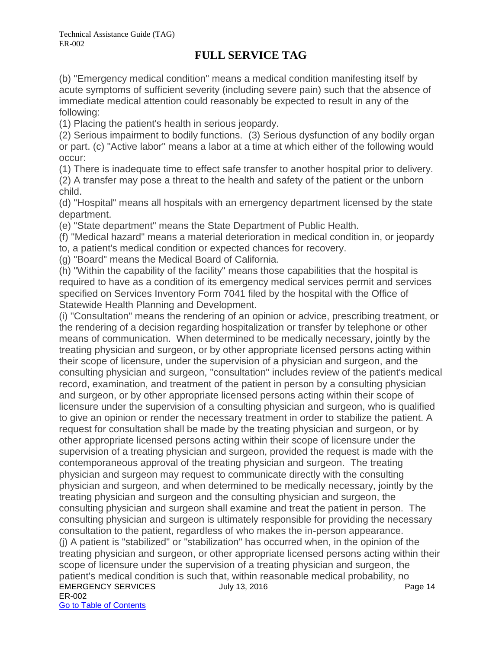(b) "Emergency medical condition" means a medical condition manifesting itself by acute symptoms of sufficient severity (including severe pain) such that the absence of immediate medical attention could reasonably be expected to result in any of the following:

(1) Placing the patient's health in serious jeopardy.

(2) Serious impairment to bodily functions. (3) Serious dysfunction of any bodily organ or part. (c) "Active labor" means a labor at a time at which either of the following would occur:

(1) There is inadequate time to effect safe transfer to another hospital prior to delivery.

(2) A transfer may pose a threat to the health and safety of the patient or the unborn child.

(d) "Hospital" means all hospitals with an emergency department licensed by the state department.

(e) "State department" means the State Department of Public Health.

(f) "Medical hazard" means a material deterioration in medical condition in, or jeopardy

to, a patient's medical condition or expected chances for recovery.

(g) "Board" means the Medical Board of California.

(h) "Within the capability of the facility" means those capabilities that the hospital is required to have as a condition of its emergency medical services permit and services specified on Services Inventory Form 7041 filed by the hospital with the Office of Statewide Health Planning and Development.

EMERGENCY SERVICES July 13, 2016 ER-002 Go to Table of Contents (i) "Consultation" means the rendering of an opinion or advice, prescribing treatment, or the rendering of a decision regarding hospitalization or transfer by telephone or other means of communication. When determined to be medically necessary, jointly by the treating physician and surgeon, or by other appropriate licensed persons acting within their scope of licensure, under the supervision of a physician and surgeon, and the consulting physician and surgeon, "consultation" includes review of the patient's medical record, examination, and treatment of the patient in person by a consulting physician and surgeon, or by other appropriate licensed persons acting within their scope of licensure under the supervision of a consulting physician and surgeon, who is qualified to give an opinion or render the necessary treatment in order to stabilize the patient. A request for consultation shall be made by the treating physician and surgeon, or by other appropriate licensed persons acting within their scope of licensure under the supervision of a treating physician and surgeon, provided the request is made with the contemporaneous approval of the treating physician and surgeon. The treating physician and surgeon may request to communicate directly with the consulting physician and surgeon, and when determined to be medically necessary, jointly by the treating physician and surgeon and the consulting physician and surgeon, the consulting physician and surgeon shall examine and treat the patient in person. The consulting physician and surgeon is ultimately responsible for providing the necessary consultation to the patient, regardless of who makes the in-person appearance. (j) A patient is "stabilized" or "stabilization" has occurred when, in the opinion of the treating physician and surgeon, or other appropriate licensed persons acting within their scope of licensure under the supervision of a treating physician and surgeon, the patient's medical condition is such that, within reasonable medical probability, no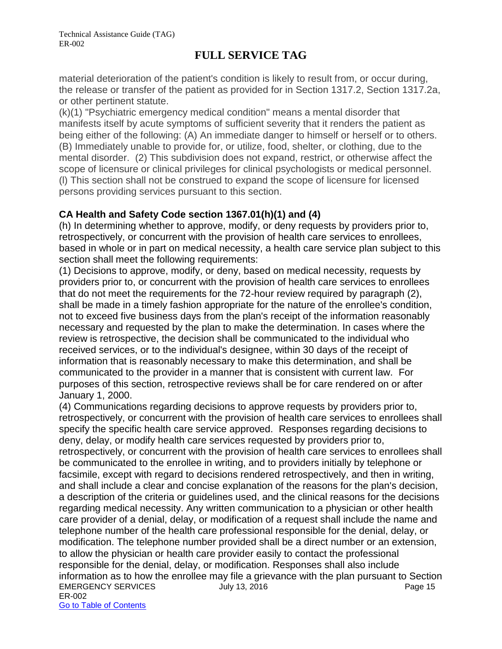material deterioration of the patient's condition is likely to result from, or occur during, the release or transfer of the patient as provided for in Section 1317.2, Section 1317.2a, or other pertinent statute.

(k)(1) "Psychiatric emergency medical condition" means a mental disorder that manifests itself by acute symptoms of sufficient severity that it renders the patient as being either of the following: (A) An immediate danger to himself or herself or to others. (B) Immediately unable to provide for, or utilize, food, shelter, or clothing, due to the mental disorder. (2) This subdivision does not expand, restrict, or otherwise affect the scope of licensure or clinical privileges for clinical psychologists or medical personnel. (l) This section shall not be construed to expand the scope of licensure for licensed persons providing services pursuant to this section.

### **CA Health and Safety Code section 1367.01(h)(1) and (4)**

(h) In determining whether to approve, modify, or deny requests by providers prior to, retrospectively, or concurrent with the provision of health care services to enrollees, based in whole or in part on medical necessity, a health care service plan subject to this section shall meet the following requirements:

(1) Decisions to approve, modify, or deny, based on medical necessity, requests by providers prior to, or concurrent with the provision of health care services to enrollees that do not meet the requirements for the 72-hour review required by paragraph (2), shall be made in a timely fashion appropriate for the nature of the enrollee's condition, not to exceed five business days from the plan's receipt of the information reasonably necessary and requested by the plan to make the determination. In cases where the review is retrospective, the decision shall be communicated to the individual who received services, or to the individual's designee, within 30 days of the receipt of information that is reasonably necessary to make this determination, and shall be communicated to the provider in a manner that is consistent with current law. For purposes of this section, retrospective reviews shall be for care rendered on or after January 1, 2000.

EMERGENCY SERVICES UUly 13, 2016 ER-002 Go to Table of Contents (4) Communications regarding decisions to approve requests by providers prior to, retrospectively, or concurrent with the provision of health care services to enrollees shall specify the specific health care service approved. Responses regarding decisions to deny, delay, or modify health care services requested by providers prior to, retrospectively, or concurrent with the provision of health care services to enrollees shall be communicated to the enrollee in writing, and to providers initially by telephone or facsimile, except with regard to decisions rendered retrospectively, and then in writing, and shall include a clear and concise explanation of the reasons for the plan's decision, a description of the criteria or guidelines used, and the clinical reasons for the decisions regarding medical necessity. Any written communication to a physician or other health care provider of a denial, delay, or modification of a request shall include the name and telephone number of the health care professional responsible for the denial, delay, or modification. The telephone number provided shall be a direct number or an extension, to allow the physician or health care provider easily to contact the professional responsible for the denial, delay, or modification. Responses shall also include information as to how the enrollee may file a grievance with the plan pursuant to Section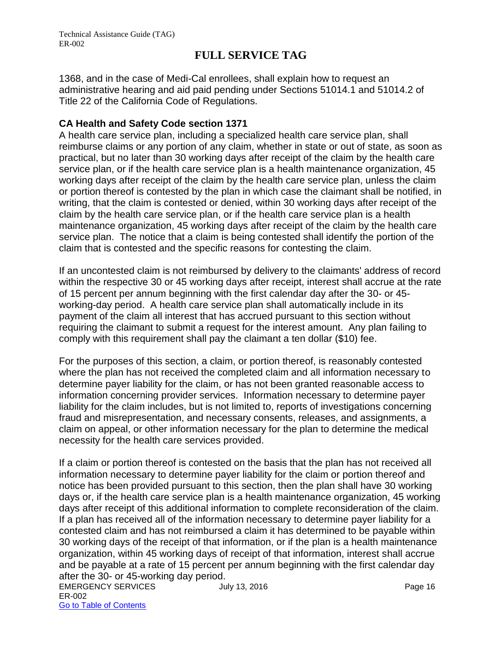1368, and in the case of Medi-Cal enrollees, shall explain how to request an administrative hearing and aid paid pending under Sections 51014.1 and 51014.2 of Title 22 of the California Code of Regulations.

### **CA Health and Safety Code section 1371**

A health care service plan, including a specialized health care service plan, shall reimburse claims or any portion of any claim, whether in state or out of state, as soon as practical, but no later than 30 working days after receipt of the claim by the health care service plan, or if the health care service plan is a health maintenance organization, 45 working days after receipt of the claim by the health care service plan, unless the claim or portion thereof is contested by the plan in which case the claimant shall be notified, in writing, that the claim is contested or denied, within 30 working days after receipt of the claim by the health care service plan, or if the health care service plan is a health maintenance organization, 45 working days after receipt of the claim by the health care service plan. The notice that a claim is being contested shall identify the portion of the claim that is contested and the specific reasons for contesting the claim.

If an uncontested claim is not reimbursed by delivery to the claimants' address of record within the respective 30 or 45 working days after receipt, interest shall accrue at the rate of 15 percent per annum beginning with the first calendar day after the 30- or 45 working-day period. A health care service plan shall automatically include in its payment of the claim all interest that has accrued pursuant to this section without requiring the claimant to submit a request for the interest amount. Any plan failing to comply with this requirement shall pay the claimant a ten dollar (\$10) fee.

For the purposes of this section, a claim, or portion thereof, is reasonably contested where the plan has not received the completed claim and all information necessary to determine payer liability for the claim, or has not been granted reasonable access to information concerning provider services. Information necessary to determine payer liability for the claim includes, but is not limited to, reports of investigations concerning fraud and misrepresentation, and necessary consents, releases, and assignments, a claim on appeal, or other information necessary for the plan to determine the medical necessity for the health care services provided.

If a claim or portion thereof is contested on the basis that the plan has not received all information necessary to determine payer liability for the claim or portion thereof and notice has been provided pursuant to this section, then the plan shall have 30 working days or, if the health care service plan is a health maintenance organization, 45 working days after receipt of this additional information to complete reconsideration of the claim. If a plan has received all of the information necessary to determine payer liability for a contested claim and has not reimbursed a claim it has determined to be payable within 30 working days of the receipt of that information, or if the plan is a health maintenance organization, within 45 working days of receipt of that information, interest shall accrue and be payable at a rate of 15 percent per annum beginning with the first calendar day after the 30- or 45-working day period.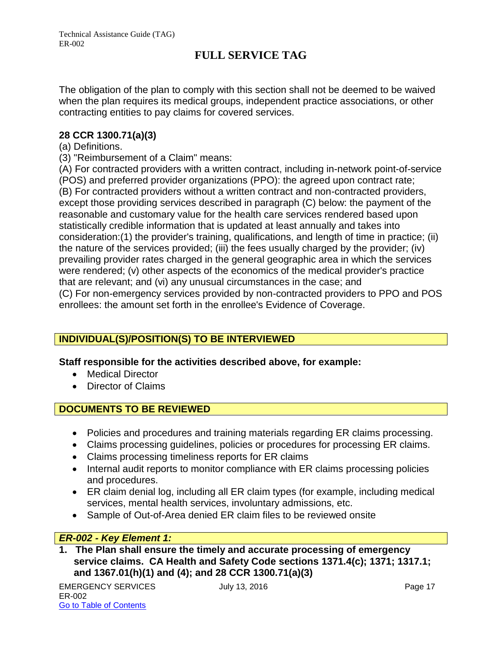The obligation of the plan to comply with this section shall not be deemed to be waived when the plan requires its medical groups, independent practice associations, or other contracting entities to pay claims for covered services.

### **28 CCR 1300.71(a)(3)**

### (a) Definitions.

(3) "Reimbursement of a Claim" means:

(A) For contracted providers with a written contract, including in-network point-of-service (POS) and preferred provider organizations (PPO): the agreed upon contract rate; (B) For contracted providers without a written contract and non-contracted providers, except those providing services described in paragraph (C) below: the payment of the reasonable and customary value for the health care services rendered based upon statistically credible information that is updated at least annually and takes into consideration:(1) the provider's training, qualifications, and length of time in practice; (ii) the nature of the services provided; (iii) the fees usually charged by the provider; (iv) prevailing provider rates charged in the general geographic area in which the services were rendered; (v) other aspects of the economics of the medical provider's practice that are relevant; and (vi) any unusual circumstances in the case; and (C) For non-emergency services provided by non-contracted providers to PPO and POS enrollees: the amount set forth in the enrollee's Evidence of Coverage.

### **INDIVIDUAL(S)/POSITION(S) TO BE INTERVIEWED**

### **Staff responsible for the activities described above, for example:**

- Medical Director
- Director of Claims

### **DOCUMENTS TO BE REVIEWED**

- Policies and procedures and training materials regarding ER claims processing.
- Claims processing guidelines, policies or procedures for processing ER claims.
- Claims processing timeliness reports for ER claims
- Internal audit reports to monitor compliance with ER claims processing policies and procedures.
- ER claim denial log, including all ER claim types (for example, including medical services, mental health services, involuntary admissions, etc.
- Sample of Out-of-Area denied ER claim files to be reviewed onsite

### *ER-002 - Key Element 1:*

**1. The Plan shall ensure the timely and accurate processing of emergency service claims. CA Health and Safety Code sections 1371.4(c); 1371; 1317.1; and 1367.01(h)(1) and (4); and 28 CCR 1300.71(a)(3)**